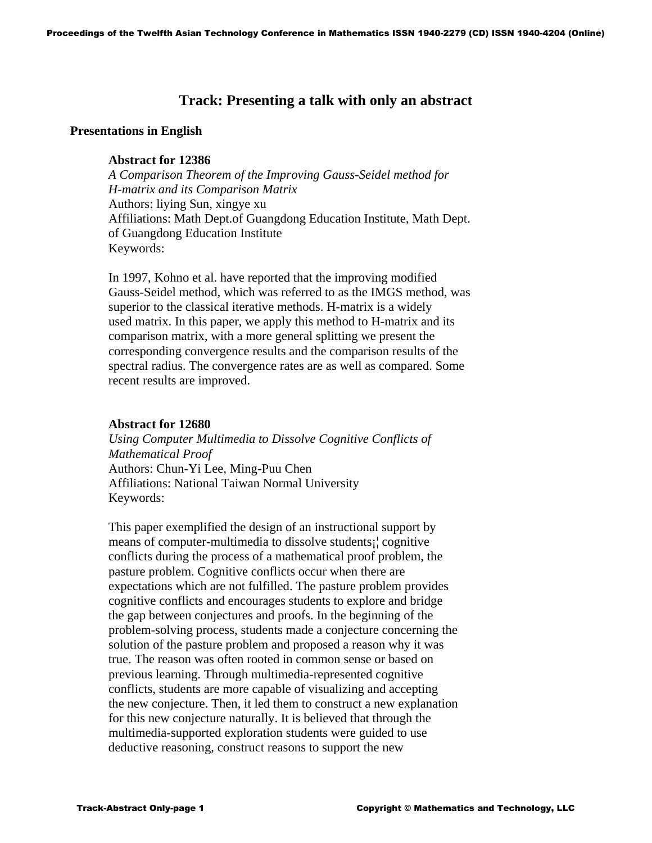# **Track: Presenting a talk with only an abstract**

## **Presentations in English**

## **Abstract for 12386**

 *A Comparison Theorem of the Improving Gauss-Seidel method for H-matrix and its Comparison Matrix* Authors: liying Sun, xingye xu Affiliations: Math Dept.of Guangdong Education Institute, Math Dept. of Guangdong Education Institute Keywords:

 In 1997, Kohno et al. have reported that the improving modified Gauss-Seidel method, which was referred to as the IMGS method, was superior to the classical iterative methods. H-matrix is a widely used matrix. In this paper, we apply this method to H-matrix and its comparison matrix, with a more general splitting we present the corresponding convergence results and the comparison results of the spectral radius. The convergence rates are as well as compared. Some recent results are improved.

## **Abstract for 12680**

 *Using Computer Multimedia to Dissolve Cognitive Conflicts of Mathematical Proof* Authors: Chun-Yi Lee, Ming-Puu Chen Affiliations: National Taiwan Normal University Keywords:

 This paper exemplified the design of an instructional support by means of computer-multimedia to dissolve students¡¦ cognitive conflicts during the process of a mathematical proof problem, the pasture problem. Cognitive conflicts occur when there are expectations which are not fulfilled. The pasture problem provides cognitive conflicts and encourages students to explore and bridge the gap between conjectures and proofs. In the beginning of the problem-solving process, students made a conjecture concerning the solution of the pasture problem and proposed a reason why it was true. The reason was often rooted in common sense or based on previous learning. Through multimedia-represented cognitive conflicts, students are more capable of visualizing and accepting the new conjecture. Then, it led them to construct a new explanation for this new conjecture naturally. It is believed that through the multimedia-supported exploration students were guided to use deductive reasoning, construct reasons to support the new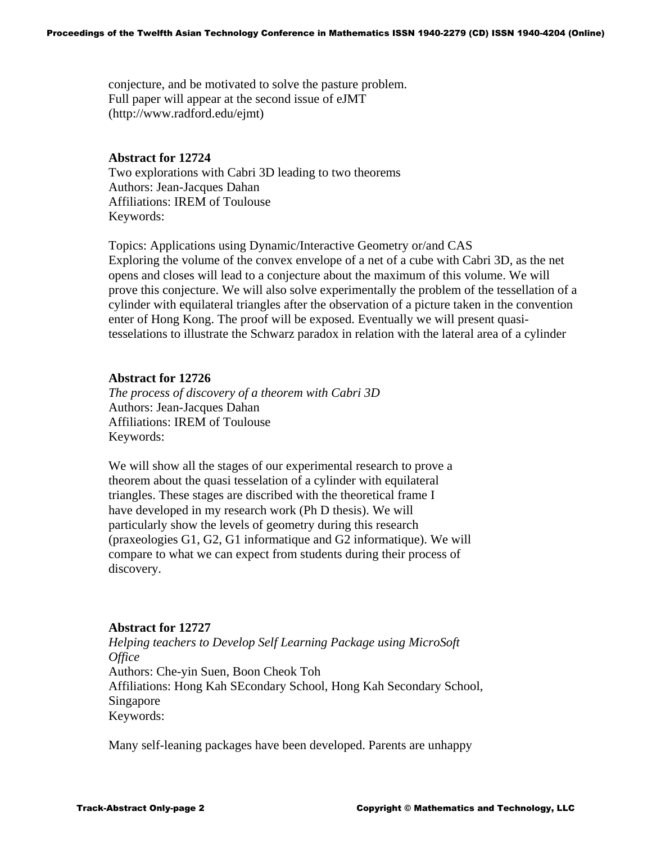conjecture, and be motivated to solve the pasture problem. Full paper will appear at the second issue of eJMT (http://www.radford.edu/ejmt)

## **Abstract for 12724**

Two explorations with Cabri 3D leading to two theorems Authors: Jean-Jacques Dahan Affiliations: IREM of Toulouse Keywords:

Topics: Applications using Dynamic/Interactive Geometry or/and CAS Exploring the volume of the convex envelope of a net of a cube with Cabri 3D, as the net opens and closes will lead to a conjecture about the maximum of this volume. We will prove this conjecture. We will also solve experimentally the problem of the tessellation of a cylinder with equilateral triangles after the observation of a picture taken in the convention enter of Hong Kong. The proof will be exposed. Eventually we will present quasitesselations to illustrate the Schwarz paradox in relation with the lateral area of a cylinder

## **Abstract for 12726**

 *The process of discovery of a theorem with Cabri 3D*  Authors: Jean-Jacques Dahan Affiliations: IREM of Toulouse Keywords:

 We will show all the stages of our experimental research to prove a theorem about the quasi tesselation of a cylinder with equilateral triangles. These stages are discribed with the theoretical frame I have developed in my research work (Ph D thesis). We will particularly show the levels of geometry during this research (praxeologies G1, G2, G1 informatique and G2 informatique). We will compare to what we can expect from students during their process of discovery.

## **Abstract for 12727**

 *Helping teachers to Develop Self Learning Package using MicroSoft Office*  Authors: Che-yin Suen, Boon Cheok Toh Affiliations: Hong Kah SEcondary School, Hong Kah Secondary School, Singapore Keywords:

Many self-leaning packages have been developed. Parents are unhappy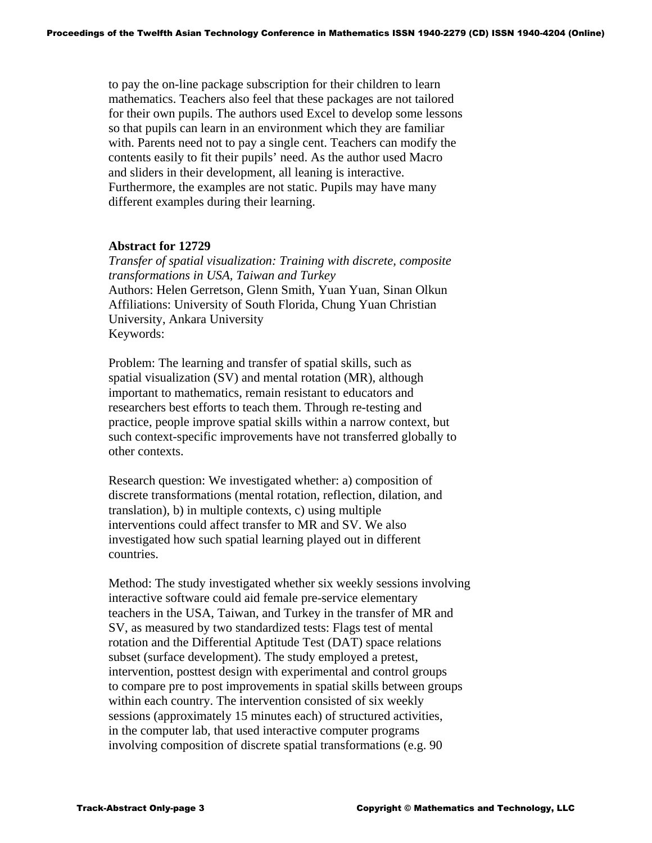to pay the on-line package subscription for their children to learn mathematics. Teachers also feel that these packages are not tailored for their own pupils. The authors used Excel to develop some lessons so that pupils can learn in an environment which they are familiar with. Parents need not to pay a single cent. Teachers can modify the contents easily to fit their pupils' need. As the author used Macro and sliders in their development, all leaning is interactive. Furthermore, the examples are not static. Pupils may have many different examples during their learning.

### **Abstract for 12729**

 *Transfer of spatial visualization: Training with discrete, composite transformations in USA, Taiwan and Turkey*  Authors: Helen Gerretson, Glenn Smith, Yuan Yuan, Sinan Olkun Affiliations: University of South Florida, Chung Yuan Christian University, Ankara University Keywords:

 Problem: The learning and transfer of spatial skills, such as spatial visualization (SV) and mental rotation (MR), although important to mathematics, remain resistant to educators and researchers best efforts to teach them. Through re-testing and practice, people improve spatial skills within a narrow context, but such context-specific improvements have not transferred globally to other contexts.

 Research question: We investigated whether: a) composition of discrete transformations (mental rotation, reflection, dilation, and translation), b) in multiple contexts, c) using multiple interventions could affect transfer to MR and SV. We also investigated how such spatial learning played out in different countries.

 Method: The study investigated whether six weekly sessions involving interactive software could aid female pre-service elementary teachers in the USA, Taiwan, and Turkey in the transfer of MR and SV, as measured by two standardized tests: Flags test of mental rotation and the Differential Aptitude Test (DAT) space relations subset (surface development). The study employed a pretest, intervention, posttest design with experimental and control groups to compare pre to post improvements in spatial skills between groups within each country. The intervention consisted of six weekly sessions (approximately 15 minutes each) of structured activities, in the computer lab, that used interactive computer programs involving composition of discrete spatial transformations (e.g. 90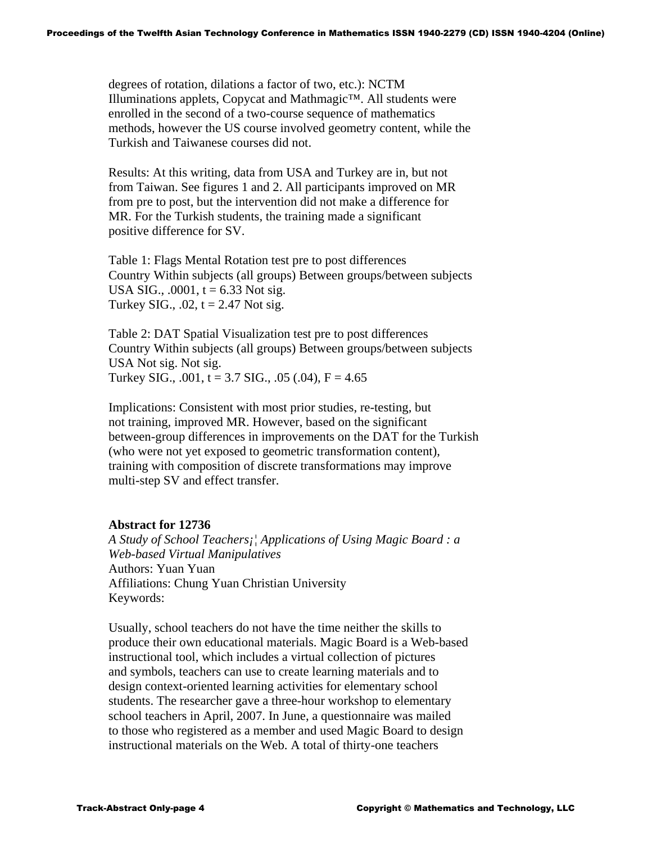degrees of rotation, dilations a factor of two, etc.): NCTM Illuminations applets, Copycat and Mathmagic™. All students were enrolled in the second of a two-course sequence of mathematics methods, however the US course involved geometry content, while the Turkish and Taiwanese courses did not.

 Results: At this writing, data from USA and Turkey are in, but not from Taiwan. See figures 1 and 2. All participants improved on MR from pre to post, but the intervention did not make a difference for MR. For the Turkish students, the training made a significant positive difference for SV.

 Table 1: Flags Mental Rotation test pre to post differences Country Within subjects (all groups) Between groups/between subjects USA SIG.,  $.0001$ ,  $t = 6.33$  Not sig. Turkey SIG.,  $.02$ ,  $t = 2.47$  Not sig.

 Table 2: DAT Spatial Visualization test pre to post differences Country Within subjects (all groups) Between groups/between subjects USA Not sig. Not sig. Turkey SIG.,  $.001$ , t = 3.7 SIG.,  $.05$  ( $.04$ ), F = 4.65

 Implications: Consistent with most prior studies, re-testing, but not training, improved MR. However, based on the significant between-group differences in improvements on the DAT for the Turkish (who were not yet exposed to geometric transformation content), training with composition of discrete transformations may improve multi-step SV and effect transfer.

## **Abstract for 12736**

 *A Study of School Teachers¡¦ Applications of Using Magic Board : a Web-based Virtual Manipulatives*  Authors: Yuan Yuan Affiliations: Chung Yuan Christian University Keywords:

 Usually, school teachers do not have the time neither the skills to produce their own educational materials. Magic Board is a Web-based instructional tool, which includes a virtual collection of pictures and symbols, teachers can use to create learning materials and to design context-oriented learning activities for elementary school students. The researcher gave a three-hour workshop to elementary school teachers in April, 2007. In June, a questionnaire was mailed to those who registered as a member and used Magic Board to design instructional materials on the Web. A total of thirty-one teachers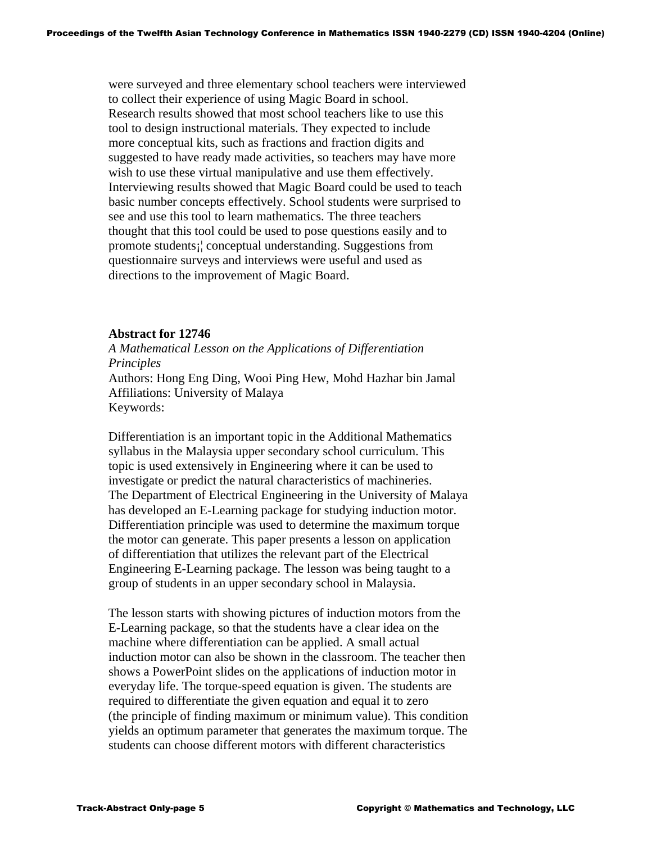were surveyed and three elementary school teachers were interviewed to collect their experience of using Magic Board in school. Research results showed that most school teachers like to use this tool to design instructional materials. They expected to include more conceptual kits, such as fractions and fraction digits and suggested to have ready made activities, so teachers may have more wish to use these virtual manipulative and use them effectively. Interviewing results showed that Magic Board could be used to teach basic number concepts effectively. School students were surprised to see and use this tool to learn mathematics. The three teachers thought that this tool could be used to pose questions easily and to promote students¡¦ conceptual understanding. Suggestions from questionnaire surveys and interviews were useful and used as directions to the improvement of Magic Board.

### **Abstract for 12746**

 *A Mathematical Lesson on the Applications of Differentiation Principles*  Authors: Hong Eng Ding, Wooi Ping Hew, Mohd Hazhar bin Jamal Affiliations: University of Malaya Keywords:

 Differentiation is an important topic in the Additional Mathematics syllabus in the Malaysia upper secondary school curriculum. This topic is used extensively in Engineering where it can be used to investigate or predict the natural characteristics of machineries. The Department of Electrical Engineering in the University of Malaya has developed an E-Learning package for studying induction motor. Differentiation principle was used to determine the maximum torque the motor can generate. This paper presents a lesson on application of differentiation that utilizes the relevant part of the Electrical Engineering E-Learning package. The lesson was being taught to a group of students in an upper secondary school in Malaysia.

 The lesson starts with showing pictures of induction motors from the E-Learning package, so that the students have a clear idea on the machine where differentiation can be applied. A small actual induction motor can also be shown in the classroom. The teacher then shows a PowerPoint slides on the applications of induction motor in everyday life. The torque-speed equation is given. The students are required to differentiate the given equation and equal it to zero (the principle of finding maximum or minimum value). This condition yields an optimum parameter that generates the maximum torque. The students can choose different motors with different characteristics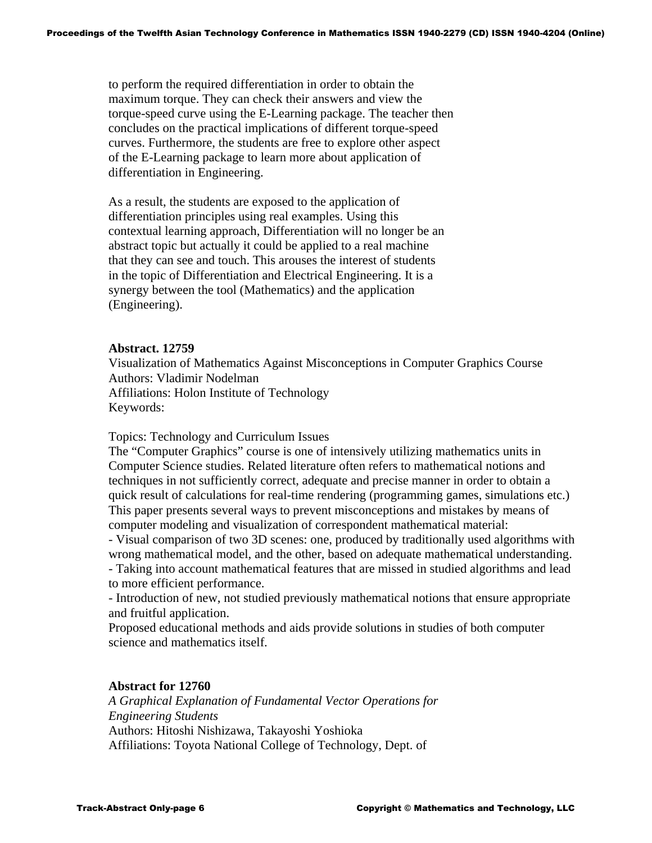to perform the required differentiation in order to obtain the maximum torque. They can check their answers and view the torque-speed curve using the E-Learning package. The teacher then concludes on the practical implications of different torque-speed curves. Furthermore, the students are free to explore other aspect of the E-Learning package to learn more about application of differentiation in Engineering.

 As a result, the students are exposed to the application of differentiation principles using real examples. Using this contextual learning approach, Differentiation will no longer be an abstract topic but actually it could be applied to a real machine that they can see and touch. This arouses the interest of students in the topic of Differentiation and Electrical Engineering. It is a synergy between the tool (Mathematics) and the application (Engineering).

## **Abstract. 12759**

Visualization of Mathematics Against Misconceptions in Computer Graphics Course Authors: Vladimir Nodelman Affiliations: Holon Institute of Technology Keywords:

Topics: Technology and Curriculum Issues

The "Computer Graphics" course is one of intensively utilizing mathematics units in Computer Science studies. Related literature often refers to mathematical notions and techniques in not sufficiently correct, adequate and precise manner in order to obtain a quick result of calculations for real-time rendering (programming games, simulations etc.) This paper presents several ways to prevent misconceptions and mistakes by means of computer modeling and visualization of correspondent mathematical material:

- Visual comparison of two 3D scenes: one, produced by traditionally used algorithms with wrong mathematical model, and the other, based on adequate mathematical understanding.

- Taking into account mathematical features that are missed in studied algorithms and lead to more efficient performance.

- Introduction of new, not studied previously mathematical notions that ensure appropriate and fruitful application.

Proposed educational methods and aids provide solutions in studies of both computer science and mathematics itself.

## **Abstract for 12760**

 *A Graphical Explanation of Fundamental Vector Operations for Engineering Students*  Authors: Hitoshi Nishizawa, Takayoshi Yoshioka Affiliations: Toyota National College of Technology, Dept. of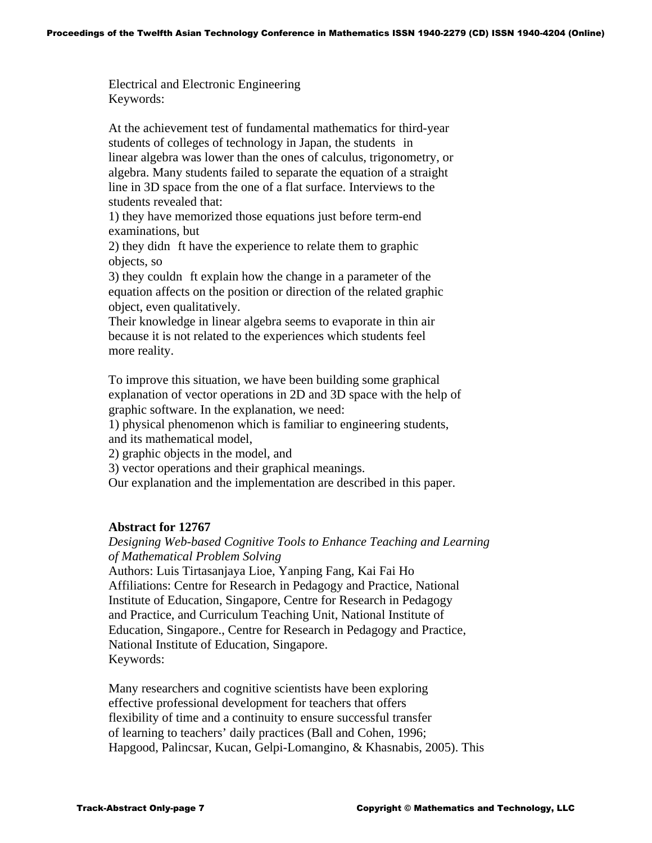Electrical and Electronic Engineering Keywords:

 At the achievement test of fundamental mathematics for third-year students of colleges of technology in Japan, the students in linear algebra was lower than the ones of calculus, trigonometry, or algebra. Many students failed to separate the equation of a straight line in 3D space from the one of a flat surface. Interviews to the students revealed that:

 1) they have memorized those equations just before term-end examinations, but

2) they didn ft have the experience to relate them to graphic objects, so

3) they couldn ft explain how the change in a parameter of the equation affects on the position or direction of the related graphic object, even qualitatively.

 Their knowledge in linear algebra seems to evaporate in thin air because it is not related to the experiences which students feel more reality.

 To improve this situation, we have been building some graphical explanation of vector operations in 2D and 3D space with the help of graphic software. In the explanation, we need:

 1) physical phenomenon which is familiar to engineering students, and its mathematical model,

2) graphic objects in the model, and

3) vector operations and their graphical meanings.

Our explanation and the implementation are described in this paper.

## **Abstract for 12767**

## *Designing Web-based Cognitive Tools to Enhance Teaching and Learning of Mathematical Problem Solving*

 Authors: Luis Tirtasanjaya Lioe, Yanping Fang, Kai Fai Ho Affiliations: Centre for Research in Pedagogy and Practice, National Institute of Education, Singapore, Centre for Research in Pedagogy and Practice, and Curriculum Teaching Unit, National Institute of Education, Singapore., Centre for Research in Pedagogy and Practice, National Institute of Education, Singapore. Keywords:

 Many researchers and cognitive scientists have been exploring effective professional development for teachers that offers flexibility of time and a continuity to ensure successful transfer of learning to teachers' daily practices (Ball and Cohen, 1996; Hapgood, Palincsar, Kucan, Gelpi-Lomangino, & Khasnabis, 2005). This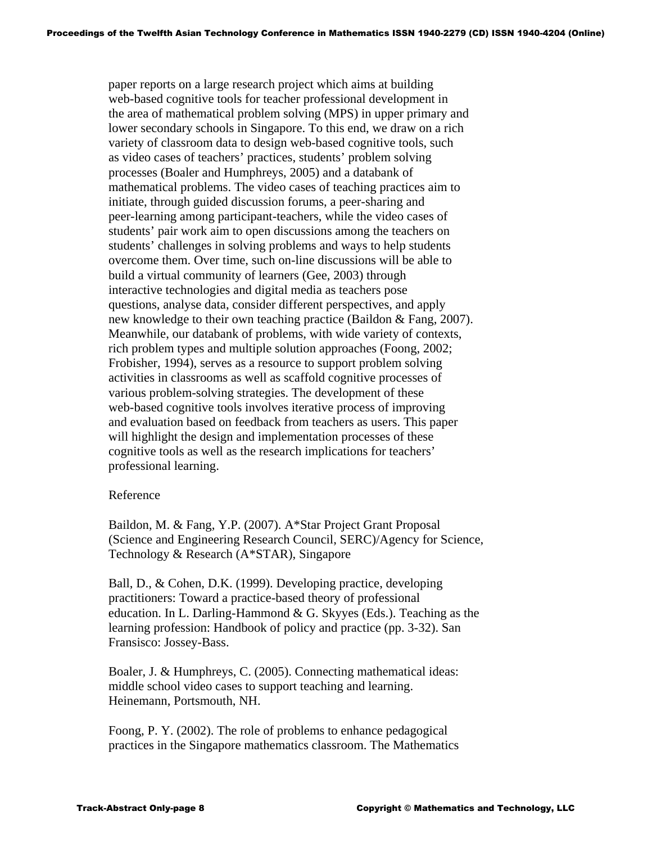paper reports on a large research project which aims at building web-based cognitive tools for teacher professional development in the area of mathematical problem solving (MPS) in upper primary and lower secondary schools in Singapore. To this end, we draw on a rich variety of classroom data to design web-based cognitive tools, such as video cases of teachers' practices, students' problem solving processes (Boaler and Humphreys, 2005) and a databank of mathematical problems. The video cases of teaching practices aim to initiate, through guided discussion forums, a peer-sharing and peer-learning among participant-teachers, while the video cases of students' pair work aim to open discussions among the teachers on students' challenges in solving problems and ways to help students overcome them. Over time, such on-line discussions will be able to build a virtual community of learners (Gee, 2003) through interactive technologies and digital media as teachers pose questions, analyse data, consider different perspectives, and apply new knowledge to their own teaching practice (Baildon & Fang, 2007). Meanwhile, our databank of problems, with wide variety of contexts, rich problem types and multiple solution approaches (Foong, 2002; Frobisher, 1994), serves as a resource to support problem solving activities in classrooms as well as scaffold cognitive processes of various problem-solving strategies. The development of these web-based cognitive tools involves iterative process of improving and evaluation based on feedback from teachers as users. This paper will highlight the design and implementation processes of these cognitive tools as well as the research implications for teachers' professional learning.

## Reference

 Baildon, M. & Fang, Y.P. (2007). A\*Star Project Grant Proposal (Science and Engineering Research Council, SERC)/Agency for Science, Technology & Research (A\*STAR), Singapore

 Ball, D., & Cohen, D.K. (1999). Developing practice, developing practitioners: Toward a practice-based theory of professional education. In L. Darling-Hammond & G. Skyyes (Eds.). Teaching as the learning profession: Handbook of policy and practice (pp. 3-32). San Fransisco: Jossey-Bass.

 Boaler, J. & Humphreys, C. (2005). Connecting mathematical ideas: middle school video cases to support teaching and learning. Heinemann, Portsmouth, NH.

 Foong, P. Y. (2002). The role of problems to enhance pedagogical practices in the Singapore mathematics classroom. The Mathematics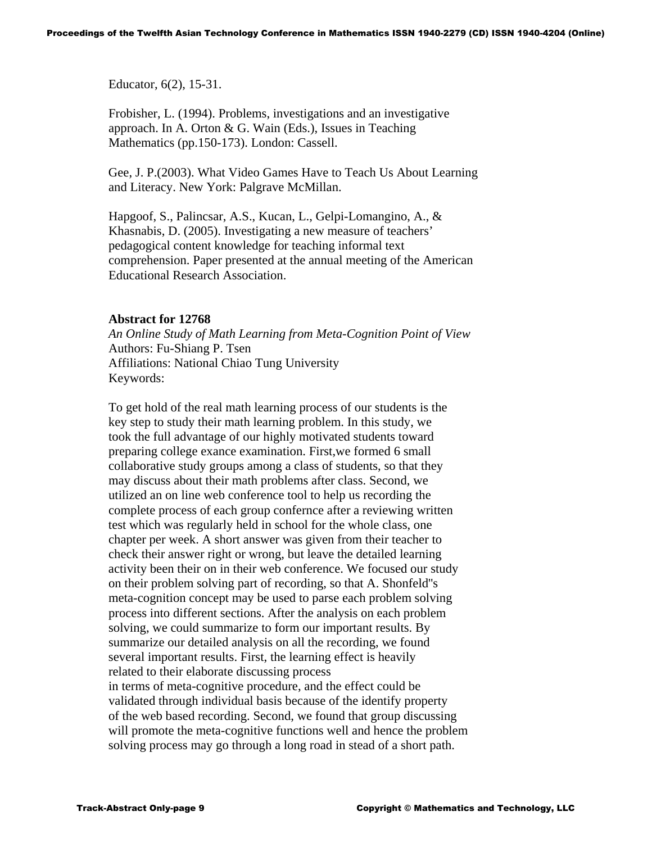Educator, 6(2), 15-31.

 Frobisher, L. (1994). Problems, investigations and an investigative approach. In A. Orton & G. Wain (Eds.), Issues in Teaching Mathematics (pp.150-173). London: Cassell.

 Gee, J. P.(2003). What Video Games Have to Teach Us About Learning and Literacy. New York: Palgrave McMillan.

 Hapgoof, S., Palincsar, A.S., Kucan, L., Gelpi-Lomangino, A., & Khasnabis, D. (2005). Investigating a new measure of teachers' pedagogical content knowledge for teaching informal text comprehension. Paper presented at the annual meeting of the American Educational Research Association.

## **Abstract for 12768**

 *An Online Study of Math Learning from Meta-Cognition Point of View*  Authors: Fu-Shiang P. Tsen Affiliations: National Chiao Tung University Keywords:

 To get hold of the real math learning process of our students is the key step to study their math learning problem. In this study, we took the full advantage of our highly motivated students toward preparing college exance examination. First,we formed 6 small collaborative study groups among a class of students, so that they may discuss about their math problems after class. Second, we utilized an on line web conference tool to help us recording the complete process of each group confernce after a reviewing written test which was regularly held in school for the whole class, one chapter per week. A short answer was given from their teacher to check their answer right or wrong, but leave the detailed learning activity been their on in their web conference. We focused our study on their problem solving part of recording, so that A. Shonfeld''s meta-cognition concept may be used to parse each problem solving process into different sections. After the analysis on each problem solving, we could summarize to form our important results. By summarize our detailed analysis on all the recording, we found several important results. First, the learning effect is heavily related to their elaborate discussing process in terms of meta-cognitive procedure, and the effect could be validated through individual basis because of the identify property of the web based recording. Second, we found that group discussing will promote the meta-cognitive functions well and hence the problem solving process may go through a long road in stead of a short path.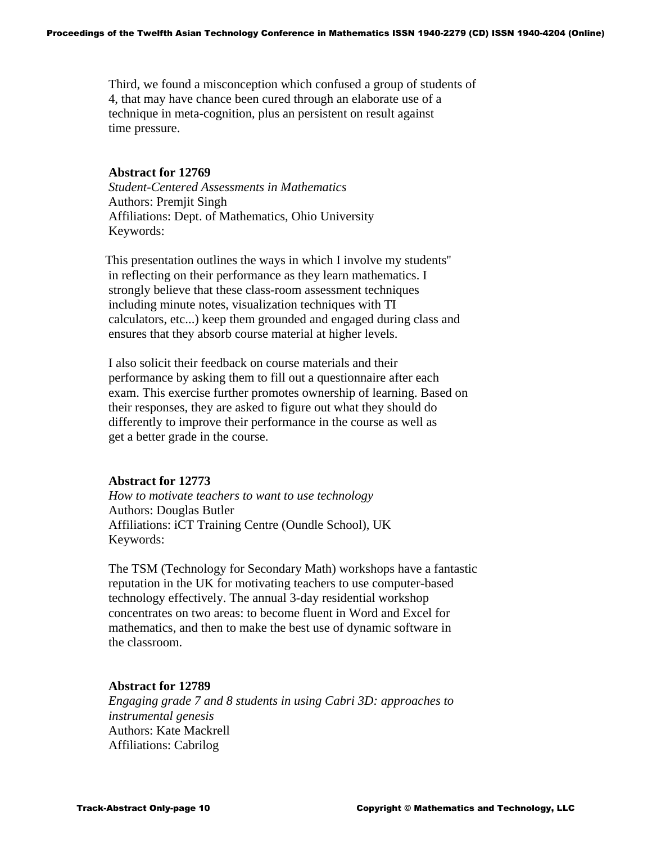Third, we found a misconception which confused a group of students of 4, that may have chance been cured through an elaborate use of a technique in meta-cognition, plus an persistent on result against time pressure.

### **Abstract for 12769**

 *Student-Centered Assessments in Mathematics*  Authors: Premjit Singh Affiliations: Dept. of Mathematics, Ohio University Keywords:

 This presentation outlines the ways in which I involve my students'' in reflecting on their performance as they learn mathematics. I strongly believe that these class-room assessment techniques including minute notes, visualization techniques with TI calculators, etc...) keep them grounded and engaged during class and ensures that they absorb course material at higher levels.

 I also solicit their feedback on course materials and their performance by asking them to fill out a questionnaire after each exam. This exercise further promotes ownership of learning. Based on their responses, they are asked to figure out what they should do differently to improve their performance in the course as well as get a better grade in the course.

## **Abstract for 12773**

 *How to motivate teachers to want to use technology*  Authors: Douglas Butler Affiliations: iCT Training Centre (Oundle School), UK Keywords:

 The TSM (Technology for Secondary Math) workshops have a fantastic reputation in the UK for motivating teachers to use computer-based technology effectively. The annual 3-day residential workshop concentrates on two areas: to become fluent in Word and Excel for mathematics, and then to make the best use of dynamic software in the classroom.

## **Abstract for 12789**

 *Engaging grade 7 and 8 students in using Cabri 3D: approaches to instrumental genesis*  Authors: Kate Mackrell Affiliations: Cabrilog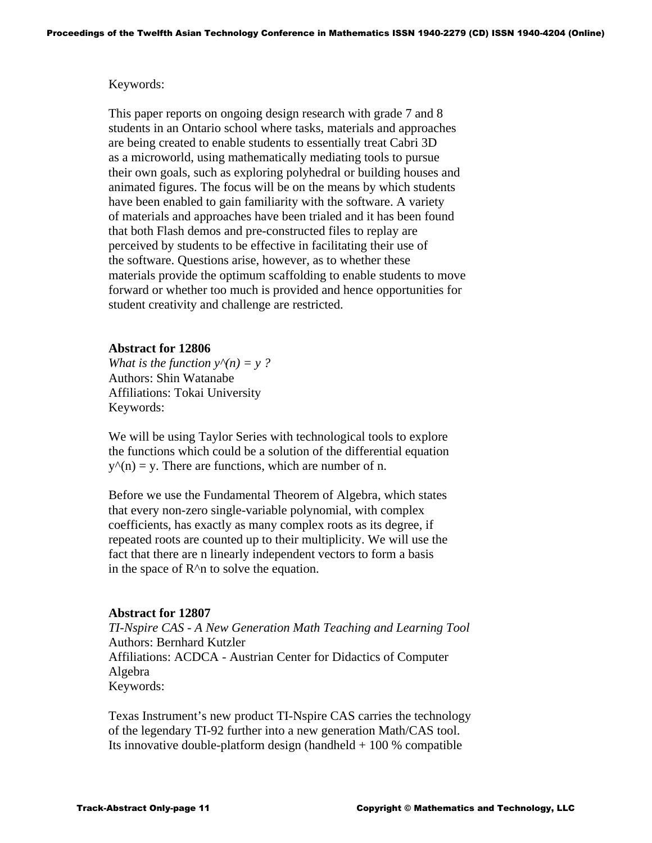### Keywords:

 This paper reports on ongoing design research with grade 7 and 8 students in an Ontario school where tasks, materials and approaches are being created to enable students to essentially treat Cabri 3D as a microworld, using mathematically mediating tools to pursue their own goals, such as exploring polyhedral or building houses and animated figures. The focus will be on the means by which students have been enabled to gain familiarity with the software. A variety of materials and approaches have been trialed and it has been found that both Flash demos and pre-constructed files to replay are perceived by students to be effective in facilitating their use of the software. Questions arise, however, as to whether these materials provide the optimum scaffolding to enable students to move forward or whether too much is provided and hence opportunities for student creativity and challenge are restricted.

## **Abstract for 12806**

*What is the function*  $y^{(n)} = y$  ? Authors: Shin Watanabe Affiliations: Tokai University Keywords:

 We will be using Taylor Series with technological tools to explore the functions which could be a solution of the differential equation  $y<sup>^</sup>(n) = y$ . There are functions, which are number of n.

 Before we use the Fundamental Theorem of Algebra, which states that every non-zero single-variable polynomial, with complex coefficients, has exactly as many complex roots as its degree, if repeated roots are counted up to their multiplicity. We will use the fact that there are n linearly independent vectors to form a basis in the space of  $R^{\wedge}$ n to solve the equation.

#### **Abstract for 12807**

 *TI-Nspire CAS - A New Generation Math Teaching and Learning Tool*  Authors: Bernhard Kutzler Affiliations: ACDCA - Austrian Center for Didactics of Computer Algebra Keywords:

 Texas Instrument's new product TI-Nspire CAS carries the technology of the legendary TI-92 further into a new generation Math/CAS tool. Its innovative double-platform design (handheld  $+100\%$  compatible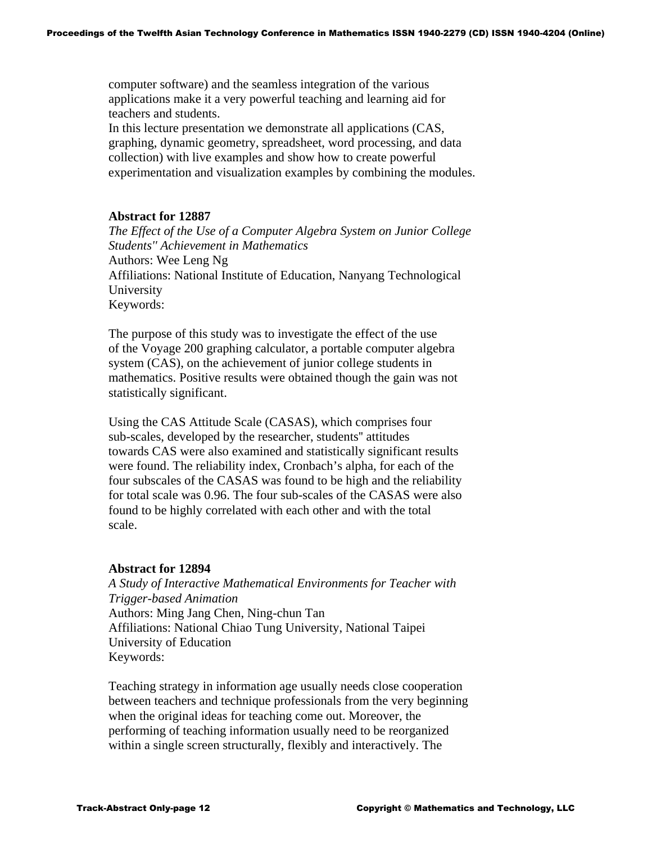computer software) and the seamless integration of the various applications make it a very powerful teaching and learning aid for teachers and students.

 In this lecture presentation we demonstrate all applications (CAS, graphing, dynamic geometry, spreadsheet, word processing, and data collection) with live examples and show how to create powerful experimentation and visualization examples by combining the modules.

## **Abstract for 12887**

 *The Effect of the Use of a Computer Algebra System on Junior College Students'' Achievement in Mathematics* Authors: Wee Leng Ng Affiliations: National Institute of Education, Nanyang Technological University Keywords:

 The purpose of this study was to investigate the effect of the use of the Voyage 200 graphing calculator, a portable computer algebra system (CAS), on the achievement of junior college students in mathematics. Positive results were obtained though the gain was not statistically significant.

 Using the CAS Attitude Scale (CASAS), which comprises four sub-scales, developed by the researcher, students'' attitudes towards CAS were also examined and statistically significant results were found. The reliability index, Cronbach's alpha, for each of the four subscales of the CASAS was found to be high and the reliability for total scale was 0.96. The four sub-scales of the CASAS were also found to be highly correlated with each other and with the total scale.

## **Abstract for 12894**

 *A Study of Interactive Mathematical Environments for Teacher with Trigger-based Animation*  Authors: Ming Jang Chen, Ning-chun Tan Affiliations: National Chiao Tung University, National Taipei University of Education Keywords:

 Teaching strategy in information age usually needs close cooperation between teachers and technique professionals from the very beginning when the original ideas for teaching come out. Moreover, the performing of teaching information usually need to be reorganized within a single screen structurally, flexibly and interactively. The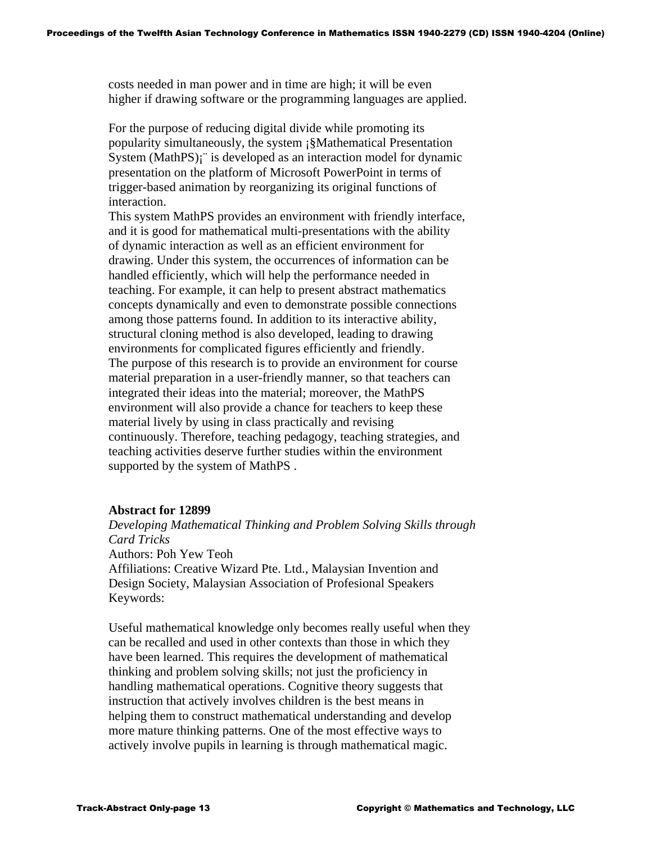costs needed in man power and in time are high; it will be even higher if drawing software or the programming languages are applied.

 For the purpose of reducing digital divide while promoting its popularity simultaneously, the system ¡§Mathematical Presentation System (MathPS); is developed as an interaction model for dynamic presentation on the platform of Microsoft PowerPoint in terms of trigger-based animation by reorganizing its original functions of interaction.

 This system MathPS provides an environment with friendly interface, and it is good for mathematical multi-presentations with the ability of dynamic interaction as well as an efficient environment for drawing. Under this system, the occurrences of information can be handled efficiently, which will help the performance needed in teaching. For example, it can help to present abstract mathematics concepts dynamically and even to demonstrate possible connections among those patterns found. In addition to its interactive ability, structural cloning method is also developed, leading to drawing environments for complicated figures efficiently and friendly. The purpose of this research is to provide an environment for course material preparation in a user-friendly manner, so that teachers can integrated their ideas into the material; moreover, the MathPS environment will also provide a chance for teachers to keep these material lively by using in class practically and revising continuously. Therefore, teaching pedagogy, teaching strategies, and teaching activities deserve further studies within the environment supported by the system of MathPS .

## **Abstract for 12899**

 *Developing Mathematical Thinking and Problem Solving Skills through Card Tricks*  Authors: Poh Yew Teoh Affiliations: Creative Wizard Pte. Ltd., Malaysian Invention and Design Society, Malaysian Association of Profesional Speakers Keywords:

 Useful mathematical knowledge only becomes really useful when they can be recalled and used in other contexts than those in which they have been learned. This requires the development of mathematical thinking and problem solving skills; not just the proficiency in handling mathematical operations. Cognitive theory suggests that instruction that actively involves children is the best means in helping them to construct mathematical understanding and develop more mature thinking patterns. One of the most effective ways to actively involve pupils in learning is through mathematical magic.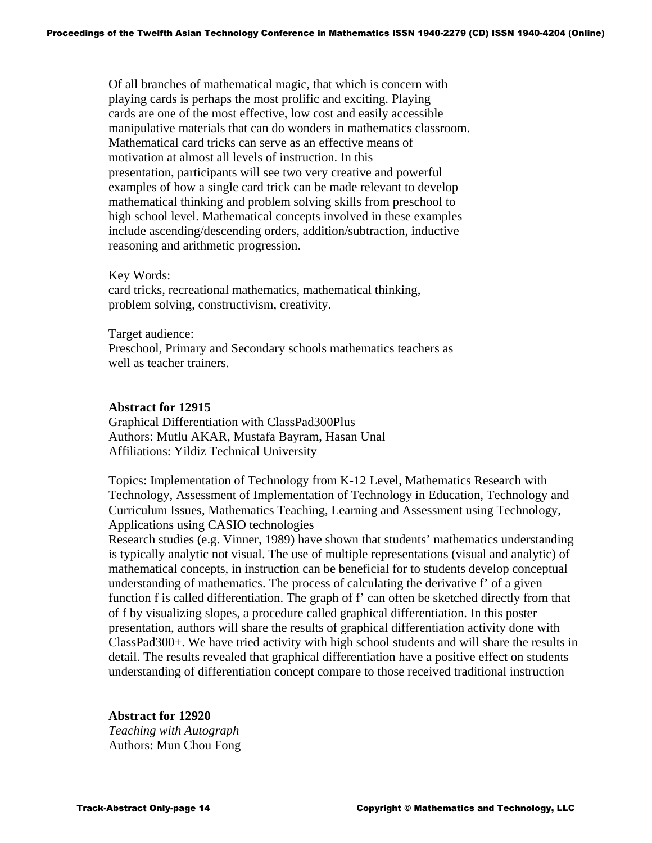Of all branches of mathematical magic, that which is concern with playing cards is perhaps the most prolific and exciting. Playing cards are one of the most effective, low cost and easily accessible manipulative materials that can do wonders in mathematics classroom. Mathematical card tricks can serve as an effective means of motivation at almost all levels of instruction. In this presentation, participants will see two very creative and powerful examples of how a single card trick can be made relevant to develop mathematical thinking and problem solving skills from preschool to high school level. Mathematical concepts involved in these examples include ascending/descending orders, addition/subtraction, inductive reasoning and arithmetic progression.

Key Words:

 card tricks, recreational mathematics, mathematical thinking, problem solving, constructivism, creativity.

 Target audience: Preschool, Primary and Secondary schools mathematics teachers as well as teacher trainers.

### **Abstract for 12915**

Graphical Differentiation with ClassPad300Plus Authors: Mutlu AKAR, Mustafa Bayram, Hasan Unal Affiliations: Yildiz Technical University

Topics: Implementation of Technology from K-12 Level, Mathematics Research with Technology, Assessment of Implementation of Technology in Education, Technology and Curriculum Issues, Mathematics Teaching, Learning and Assessment using Technology, Applications using CASIO technologies

Research studies (e.g. Vinner, 1989) have shown that students' mathematics understanding is typically analytic not visual. The use of multiple representations (visual and analytic) of mathematical concepts, in instruction can be beneficial for to students develop conceptual understanding of mathematics. The process of calculating the derivative f' of a given function f is called differentiation. The graph of f' can often be sketched directly from that of f by visualizing slopes, a procedure called graphical differentiation. In this poster presentation, authors will share the results of graphical differentiation activity done with ClassPad300+. We have tried activity with high school students and will share the results in detail. The results revealed that graphical differentiation have a positive effect on students understanding of differentiation concept compare to those received traditional instruction

**Abstract for 12920**   *Teaching with Autograph*  Authors: Mun Chou Fong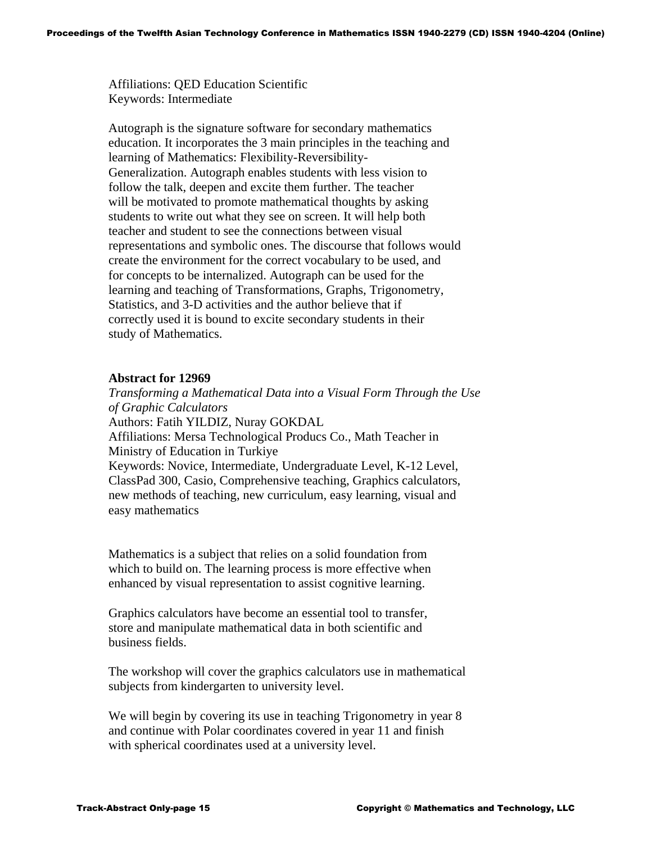Affiliations: QED Education Scientific Keywords: Intermediate

 Autograph is the signature software for secondary mathematics education. It incorporates the 3 main principles in the teaching and learning of Mathematics: Flexibility-Reversibility- Generalization. Autograph enables students with less vision to follow the talk, deepen and excite them further. The teacher will be motivated to promote mathematical thoughts by asking students to write out what they see on screen. It will help both teacher and student to see the connections between visual representations and symbolic ones. The discourse that follows would create the environment for the correct vocabulary to be used, and for concepts to be internalized. Autograph can be used for the learning and teaching of Transformations, Graphs, Trigonometry, Statistics, and 3-D activities and the author believe that if correctly used it is bound to excite secondary students in their study of Mathematics.

## **Abstract for 12969**

 *Transforming a Mathematical Data into a Visual Form Through the Use of Graphic Calculators*  Authors: Fatih YILDIZ, Nuray GOKDAL Affiliations: Mersa Technological Producs Co., Math Teacher in Ministry of Education in Turkiye Keywords: Novice, Intermediate, Undergraduate Level, K-12 Level, ClassPad 300, Casio, Comprehensive teaching, Graphics calculators, new methods of teaching, new curriculum, easy learning, visual and easy mathematics

 Mathematics is a subject that relies on a solid foundation from which to build on. The learning process is more effective when enhanced by visual representation to assist cognitive learning.

 Graphics calculators have become an essential tool to transfer, store and manipulate mathematical data in both scientific and business fields.

 The workshop will cover the graphics calculators use in mathematical subjects from kindergarten to university level.

We will begin by covering its use in teaching Trigonometry in year 8 and continue with Polar coordinates covered in year 11 and finish with spherical coordinates used at a university level.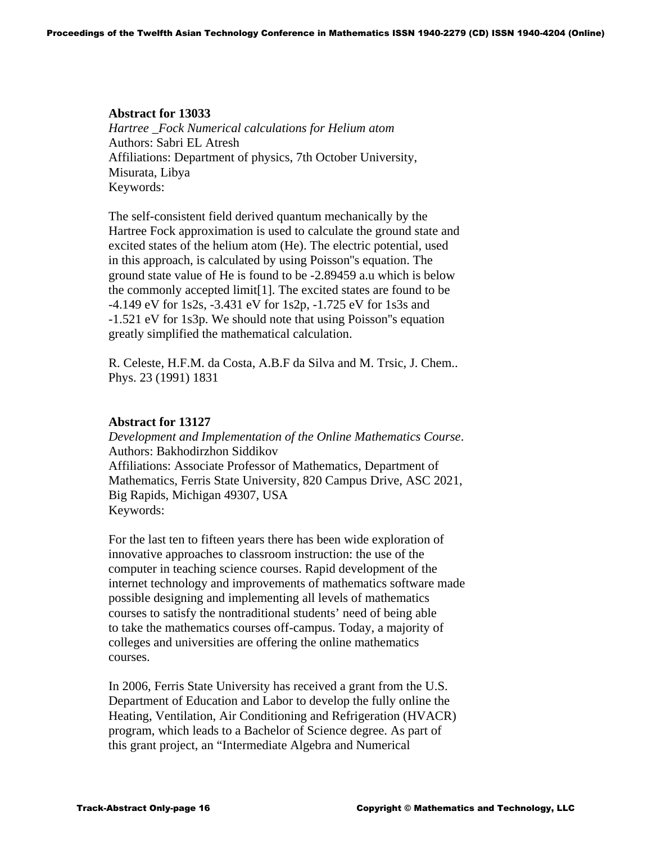## **Abstract for 13033**

 *Hartree \_Fock Numerical calculations for Helium atom*  Authors: Sabri EL Atresh Affiliations: Department of physics, 7th October University, Misurata, Libya Keywords:

 The self-consistent field derived quantum mechanically by the Hartree Fock approximation is used to calculate the ground state and excited states of the helium atom (He). The electric potential, used in this approach, is calculated by using Poisson''s equation. The ground state value of He is found to be -2.89459 a.u which is below the commonly accepted limit[1]. The excited states are found to be -4.149 eV for 1s2s, -3.431 eV for 1s2p, -1.725 eV for 1s3s and -1.521 eV for 1s3p. We should note that using Poisson''s equation greatly simplified the mathematical calculation.

 R. Celeste, H.F.M. da Costa, A.B.F da Silva and M. Trsic, J. Chem.. Phys. 23 (1991) 1831

### **Abstract for 13127**

 *Development and Implementation of the Online Mathematics Course*. Authors: Bakhodirzhon Siddikov Affiliations: Associate Professor of Mathematics, Department of Mathematics, Ferris State University, 820 Campus Drive, ASC 2021, Big Rapids, Michigan 49307, USA Keywords:

 For the last ten to fifteen years there has been wide exploration of innovative approaches to classroom instruction: the use of the computer in teaching science courses. Rapid development of the internet technology and improvements of mathematics software made possible designing and implementing all levels of mathematics courses to satisfy the nontraditional students' need of being able to take the mathematics courses off-campus. Today, a majority of colleges and universities are offering the online mathematics courses.

 In 2006, Ferris State University has received a grant from the U.S. Department of Education and Labor to develop the fully online the Heating, Ventilation, Air Conditioning and Refrigeration (HVACR) program, which leads to a Bachelor of Science degree. As part of this grant project, an "Intermediate Algebra and Numerical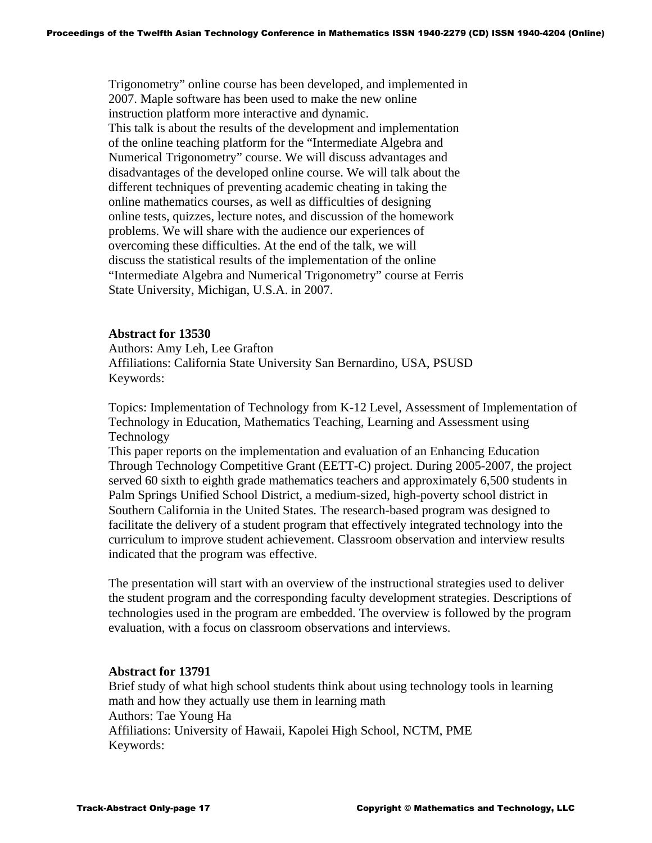Trigonometry" online course has been developed, and implemented in 2007. Maple software has been used to make the new online instruction platform more interactive and dynamic. This talk is about the results of the development and implementation of the online teaching platform for the "Intermediate Algebra and Numerical Trigonometry" course. We will discuss advantages and disadvantages of the developed online course. We will talk about the different techniques of preventing academic cheating in taking the online mathematics courses, as well as difficulties of designing online tests, quizzes, lecture notes, and discussion of the homework problems. We will share with the audience our experiences of overcoming these difficulties. At the end of the talk, we will discuss the statistical results of the implementation of the online "Intermediate Algebra and Numerical Trigonometry" course at Ferris State University, Michigan, U.S.A. in 2007.

### **Abstract for 13530**

Authors: Amy Leh, Lee Grafton Affiliations: California State University San Bernardino, USA, PSUSD Keywords:

Topics: Implementation of Technology from K-12 Level, Assessment of Implementation of Technology in Education, Mathematics Teaching, Learning and Assessment using Technology

This paper reports on the implementation and evaluation of an Enhancing Education Through Technology Competitive Grant (EETT-C) project. During 2005-2007, the project served 60 sixth to eighth grade mathematics teachers and approximately 6,500 students in Palm Springs Unified School District, a medium-sized, high-poverty school district in Southern California in the United States. The research-based program was designed to facilitate the delivery of a student program that effectively integrated technology into the curriculum to improve student achievement. Classroom observation and interview results indicated that the program was effective.

The presentation will start with an overview of the instructional strategies used to deliver the student program and the corresponding faculty development strategies. Descriptions of technologies used in the program are embedded. The overview is followed by the program evaluation, with a focus on classroom observations and interviews.

#### **Abstract for 13791**

Brief study of what high school students think about using technology tools in learning math and how they actually use them in learning math Authors: Tae Young Ha Affiliations: University of Hawaii, Kapolei High School, NCTM, PME Keywords: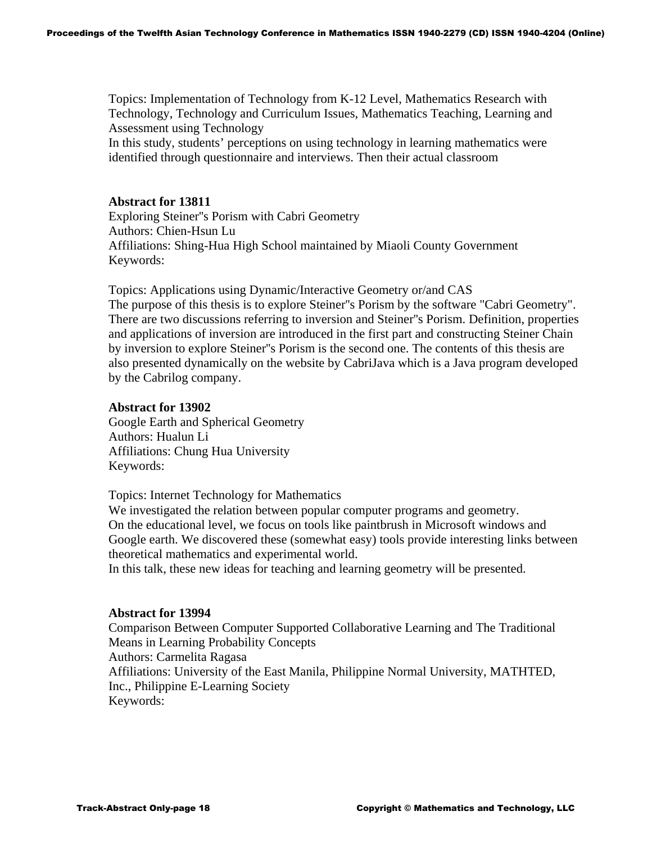Topics: Implementation of Technology from K-12 Level, Mathematics Research with Technology, Technology and Curriculum Issues, Mathematics Teaching, Learning and Assessment using Technology

In this study, students' perceptions on using technology in learning mathematics were identified through questionnaire and interviews. Then their actual classroom

### **Abstract for 13811**

Exploring Steiner''s Porism with Cabri Geometry Authors: Chien-Hsun Lu Affiliations: Shing-Hua High School maintained by Miaoli County Government Keywords:

Topics: Applications using Dynamic/Interactive Geometry or/and CAS The purpose of this thesis is to explore Steiner''s Porism by the software "Cabri Geometry". There are two discussions referring to inversion and Steiner''s Porism. Definition, properties and applications of inversion are introduced in the first part and constructing Steiner Chain by inversion to explore Steiner''s Porism is the second one. The contents of this thesis are also presented dynamically on the website by CabriJava which is a Java program developed by the Cabrilog company.

#### **Abstract for 13902**

Google Earth and Spherical Geometry Authors: Hualun Li Affiliations: Chung Hua University Keywords:

Topics: Internet Technology for Mathematics

We investigated the relation between popular computer programs and geometry. On the educational level, we focus on tools like paintbrush in Microsoft windows and Google earth. We discovered these (somewhat easy) tools provide interesting links between theoretical mathematics and experimental world.

In this talk, these new ideas for teaching and learning geometry will be presented.

#### **Abstract for 13994**

Comparison Between Computer Supported Collaborative Learning and The Traditional Means in Learning Probability Concepts Authors: Carmelita Ragasa Affiliations: University of the East Manila, Philippine Normal University, MATHTED, Inc., Philippine E-Learning Society Keywords: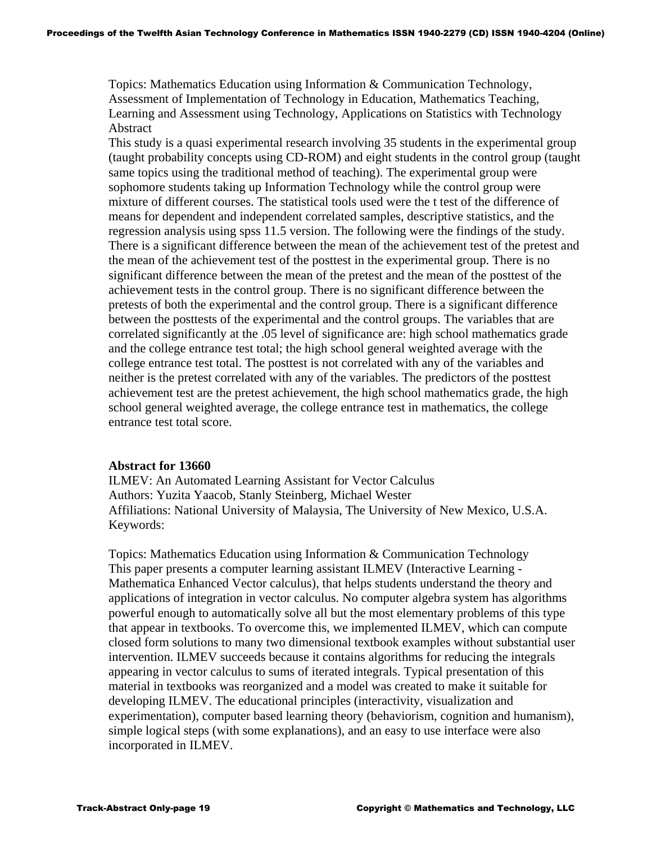Topics: Mathematics Education using Information & Communication Technology, Assessment of Implementation of Technology in Education, Mathematics Teaching, Learning and Assessment using Technology, Applications on Statistics with Technology Abstract

This study is a quasi experimental research involving 35 students in the experimental group (taught probability concepts using CD-ROM) and eight students in the control group (taught same topics using the traditional method of teaching). The experimental group were sophomore students taking up Information Technology while the control group were mixture of different courses. The statistical tools used were the t test of the difference of means for dependent and independent correlated samples, descriptive statistics, and the regression analysis using spss 11.5 version. The following were the findings of the study. There is a significant difference between the mean of the achievement test of the pretest and the mean of the achievement test of the posttest in the experimental group. There is no significant difference between the mean of the pretest and the mean of the posttest of the achievement tests in the control group. There is no significant difference between the pretests of both the experimental and the control group. There is a significant difference between the posttests of the experimental and the control groups. The variables that are correlated significantly at the .05 level of significance are: high school mathematics grade and the college entrance test total; the high school general weighted average with the college entrance test total. The posttest is not correlated with any of the variables and neither is the pretest correlated with any of the variables. The predictors of the posttest achievement test are the pretest achievement, the high school mathematics grade, the high school general weighted average, the college entrance test in mathematics, the college entrance test total score.

## **Abstract for 13660**

ILMEV: An Automated Learning Assistant for Vector Calculus Authors: Yuzita Yaacob, Stanly Steinberg, Michael Wester Affiliations: National University of Malaysia, The University of New Mexico, U.S.A. Keywords:

Topics: Mathematics Education using Information & Communication Technology This paper presents a computer learning assistant ILMEV (Interactive Learning - Mathematica Enhanced Vector calculus), that helps students understand the theory and applications of integration in vector calculus. No computer algebra system has algorithms powerful enough to automatically solve all but the most elementary problems of this type that appear in textbooks. To overcome this, we implemented ILMEV, which can compute closed form solutions to many two dimensional textbook examples without substantial user intervention. ILMEV succeeds because it contains algorithms for reducing the integrals appearing in vector calculus to sums of iterated integrals. Typical presentation of this material in textbooks was reorganized and a model was created to make it suitable for developing ILMEV. The educational principles (interactivity, visualization and experimentation), computer based learning theory (behaviorism, cognition and humanism), simple logical steps (with some explanations), and an easy to use interface were also incorporated in ILMEV.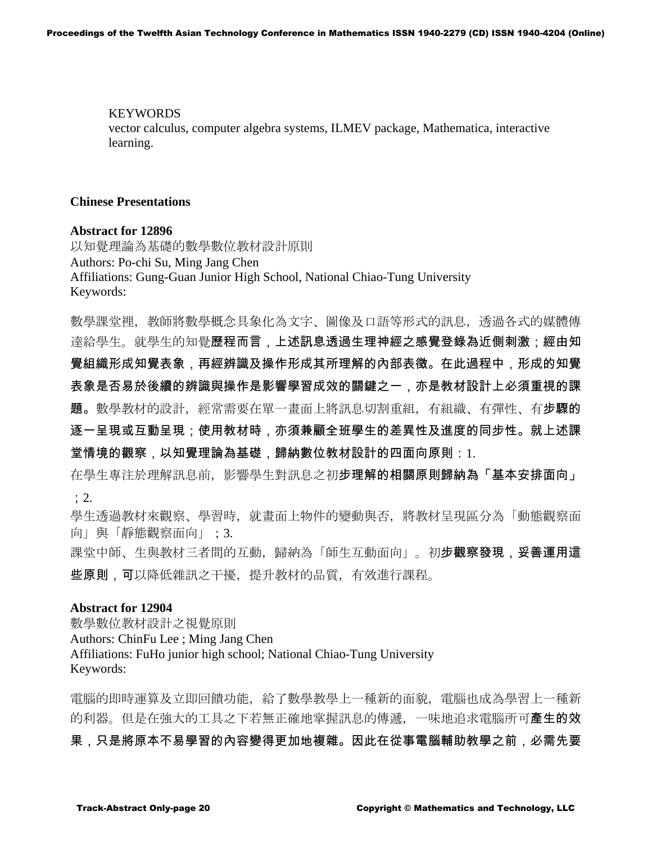KEYWORDS vector calculus, computer algebra systems, ILMEV package, Mathematica, interactive learning.

## **Chinese Presentations**

#### **Abstract for 12896**

以知覺理論為基礎的數學數位教材設計原則 Authors: Po-chi Su, Ming Jang Chen Affiliations: Gung-Guan Junior High School, National Chiao-Tung University Keywords:

數學課堂裡,教師將數學概念具象化為文字、圖像及口語等形式的訊息,透過各式的媒體傳 達給學生。就學生的知覺歷程而言,上述訊息透過生理神經之感覺登錄為近側刺激;經由知 覺組織形成知覺表象,再經辨識及操作形成其所理解的內部表徵。在此過程中,形成的知覺 表象是否易於後續的辨識與操作是影響學習成效的關鍵之一,亦是教材設計上必須重視的課 題。數學教材的設計,經常需要在單一畫面上將訊息切割重組,有組織、有彈性、有步驟的 逐一呈現或互動呈現;使用教材時,亦須兼顧全班學生的差異性及進度的同步性。就上述課 堂情境的觀察,以知覺理論為基礎,歸納數位教材設計的四面向原則: 1.

在學生專注於理解訊息前,影響學生對訊息之初步理解的相關原則歸納為「基本安排面向」 ;2.

學生透過教材來觀察、學習時,就畫面上物件的變動與否,將教材呈現區分為「動態觀察面 向」與「靜態觀察面向」;3.

課堂中師、生與教材三者間的互動,歸納為「師生互動面向」。初步觀察發現,妥善運用這 些原則,可以降低雜訊之干擾,提升教材的品質,有效進行課程。

#### **Abstract for 12904**

數學數位教材設計之視覺原則 Authors: ChinFu Lee ; Ming Jang Chen Affiliations: FuHo junior high school; National Chiao-Tung University Keywords:

電腦的即時運算及立即回饋功能,給了數學教學上一種新的面貌,電腦也成為學習上一種新 的利器。但是在強大的工具之下若無正確地掌握訊息的傳遞,一味地追求電腦所可產生的效 果,只是將原本不易學習的內容變得更加地複雜。因此在從事電腦輔助教學之前,必需先要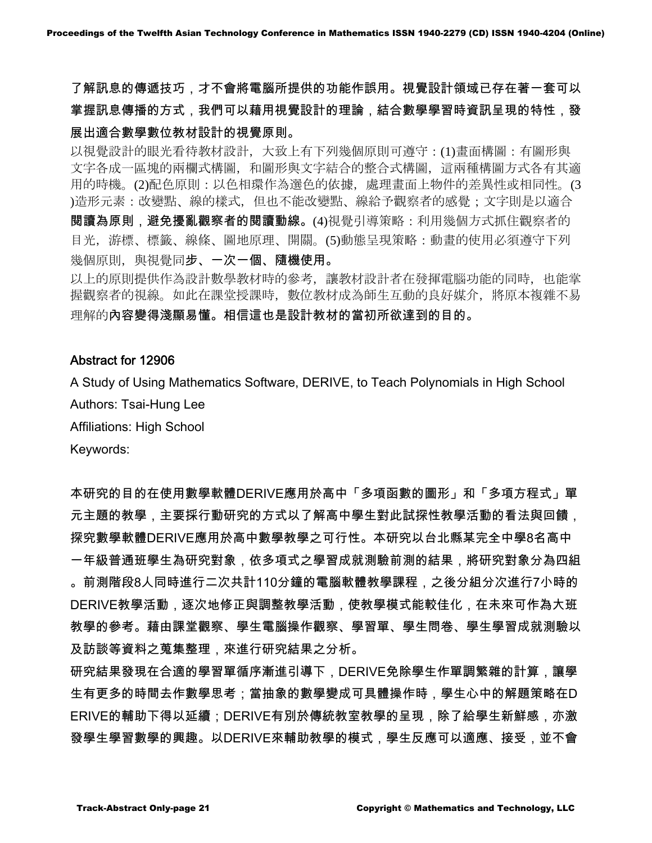了解訊息的傳遞技巧,才不會將電腦所提供的功能作誤用。視覺設計領域已存在著一套可以 掌握訊息傳播的方式,我們可以藉用視覺設計的理論,結合數學學習時資訊呈現的特性,發 展出適合數學數位教材設計的視覺原則。

以視覺設計的眼光看待教材設計,大致上有下列幾個原則可遵守:(1)畫面構圖:有圖形與 文字各成一區塊的兩欄式構圖,和圖形與文字結合的整合式構圖,這兩種構圖方式各有其適 用的時機。(2)配色原則:以色相環作為選色的依據,處理畫面上物件的差異性或相同性。(3 )造形元素:改變點、線的樣式,但也不能改變點、線給予觀察者的感覺;文字則是以適合 閱讀為原則,避免擾亂觀察者的閱讀動線。(4)視覺引導策略:利用幾個方式抓住觀察者的 目光,游標、標籤、線條、圖地原理、開關。(5)動態呈現策略:動畫的使用必須遵守下列 幾個原則,與視覺同步、一次一個、隨機使用。

以上的原則提供作為設計數學教材時的參考,讓教材設計者在發揮電腦功能的同時,也能掌 握觀察者的視線。如此在課堂授課時,數位教材成為師生互動的良好媒介,將原本複雜不易 理解的內容變得淺顯易懂。相信這也是設計教材的當初所欲達到的目的。

## Abstract for 12906

A Study of Using Mathematics Software, DERIVE, to Teach Polynomials in High School Authors: Tsai-Hung Lee

Affiliations: High School

Keywords:

本研究的目的在使用數學軟體DERIVE應用於高中「多項函數的圖形」和「多項方程式」單 元主題的教學,主要採行動研究的方式以了解高中學生對此試探性教學活動的看法與回饋, 探究數學軟體DERIVE應用於高中數學教學之可行性。本研究以台北縣某完全中學8名高中 一年級普通班學生為研究對象,依多項式之學習成就測驗前測的結果,將研究對象分為四組 。前測階段8人同時進行二次共計110分鐘的電腦軟體教學課程,之後分組分次進行7小時的 DERIVE教學活動,逐次地修正與調整教學活動,使教學模式能較佳化,在未來可作為大班 教學的參考。藉由課堂觀察、學生電腦操作觀察、學習單、學生問卷、學生學習成就測驗以 及訪談等資料之蒐集整理,來進行研究結果之分析。

研究結果發現在合適的學習單循序漸進引導下,DERIVE免除學生作單調繁雜的計算,讓學 生有更多的時間去作數學思考;當抽象的數學變成可具體操作時,學生心中的解題策略在D ERIVE的輔助下得以延續;DERIVE有別於傳統教室教學的呈現,除了給學生新鮮感,亦激 發學生學習數學的興趣。以DERIVE來輔助教學的模式,學生反應可以適應、接受,並不會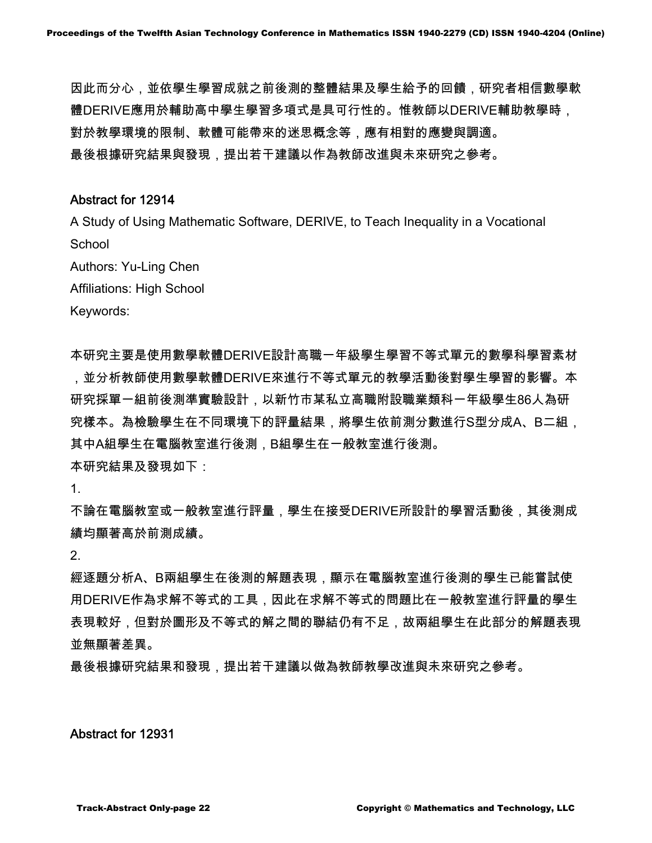因此而分心,並依學生學習成就之前後測的整體結果及學生給予的回饋,研究者相信數學軟 體DERIVE應用於輔助高中學生學習多項式是具可行性的。惟教師以DERIVE輔助教學時, 對於教學環境的限制、軟體可能帶來的迷思概念等,應有相對的應變與調適。 最後根據研究結果與發現,提出若干建議以作為教師改進與未來研究之參考。

# Abstract for 12914

A Study of Using Mathematic Software, DERIVE, to Teach Inequality in a Vocational **School** 

Authors: Yu-Ling Chen

Affiliations: High School

Keywords:

本研究主要是使用數學軟體DERIVE設計高職一年級學生學習不等式單元的數學科學習素材 ,並分析教師使用數學軟體DERIVE來進行不等式單元的教學活動後對學生學習的影響。本 研究採單一組前後測準實驗設計,以新竹市某私立高職附設職業類科一年級學生86人為研 究樣本。為檢驗學生在不同環境下的評量結果,將學生依前測分數進行S型分成A、B二組, 其中A組學生在電腦教室進行後測,B組學生在一般教室進行後測。 本研究結果及發現如下:

1.

不論在電腦教室或一般教室進行評量,學生在接受DERIVE所設計的學習活動後,其後測成 績均顯著高於前測成績。

2.

經逐題分析A、B兩組學生在後測的解題表現,顯示在電腦教室進行後測的學生已能嘗試使 用DERIVE作為求解不等式的工具,因此在求解不等式的問題比在一般教室進行評量的學生 表現較好,但對於圖形及不等式的解之間的聯結仍有不足,故兩組學生在此部分的解題表現 並無顯著差異。

最後根據研究結果和發現,提出若干建議以做為教師教學改進與未來研究之參考。

Abstract for 12931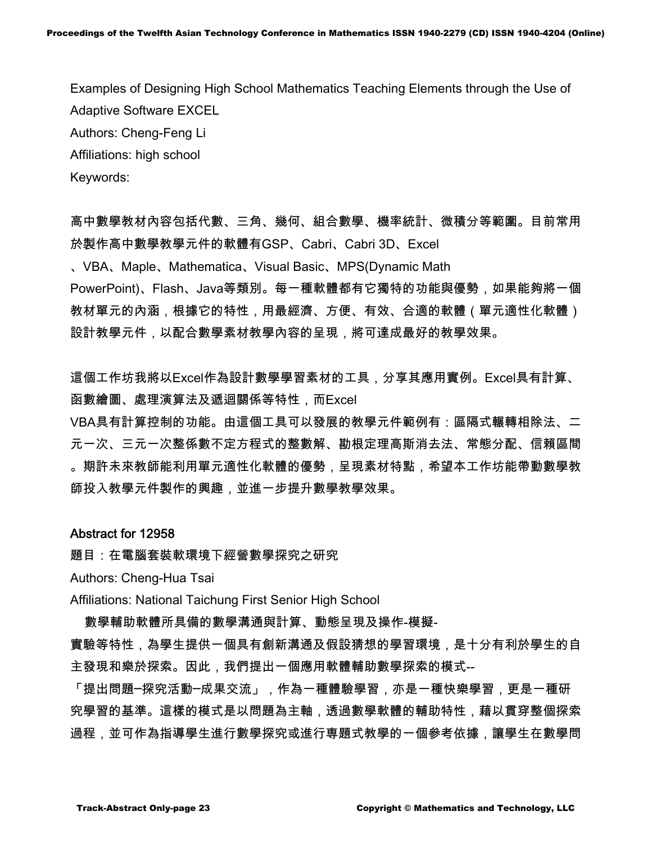Examples of Designing High School Mathematics Teaching Elements through the Use of Adaptive Software EXCEL Authors: Cheng-Feng Li Affiliations: high school Keywords:

高中數學教材內容包括代數、三角、幾何、組合數學、機率統計、微積分等範圍。目前常用 於製作高中數學教學元件的軟體有GSP、Cabri、Cabri 3D、Excel

、VBA、Maple、Mathematica、Visual Basic、MPS(Dynamic Math PowerPoint)、Flash、Java等類別。每一種軟體都有它獨特的功能與優勢,如果能夠將一個 教材單元的內涵,根據它的特性,用最經濟、方便、有效、合適的軟體(單元適性化軟體) 設計教學元件,以配合數學素材教學內容的呈現,將可達成最好的教學效果。

這個工作坊我將以Excel作為設計數學學習素材的工具,分享其應用實例。Excel具有計算、 函數繪圖、處理演算法及遞迴關係等特性,而Excel

VBA具有計算控制的功能。由這個工具可以發展的教學元件範例有:區隔式輾轉相除法、二 元一次、三元一次整係數不定方程式的整數解、勘根定理高斯消去法、常態分配、信賴區間 。期許未來教師能利用單元適性化軟體的優勢,呈現素材特點,希望本工作坊能帶動數學教 師投入教學元件製作的興趣,並進一步提升數學教學效果。

## Abstract for 12958

題目:在電腦套裝軟環境下經營數學探究之研究

Authors: Cheng-Hua Tsai

Affiliations: National Taichung First Senior High School

數學輔助軟體所具備的數學溝通與計算、動態呈現及操作-模擬-

實驗等特性,為學生提供一個具有創新溝通及假設猜想的學習環境,是十分有利於學生的自 主發現和樂於探索。因此,我們提出一個應用軟體輔助數學探索的模式--

「提出問題─探究活動─成果交流」,作為一種體驗學習,亦是一種快樂學習,更是一種研 究學習的基準。這樣的模式是以問題為主軸,透過數學軟體的輔助特性,藉以貫穿整個探索 過程,並可作為指導學生進行數學探究或進行専題式教學的一個參考依據,讓學生在數學問